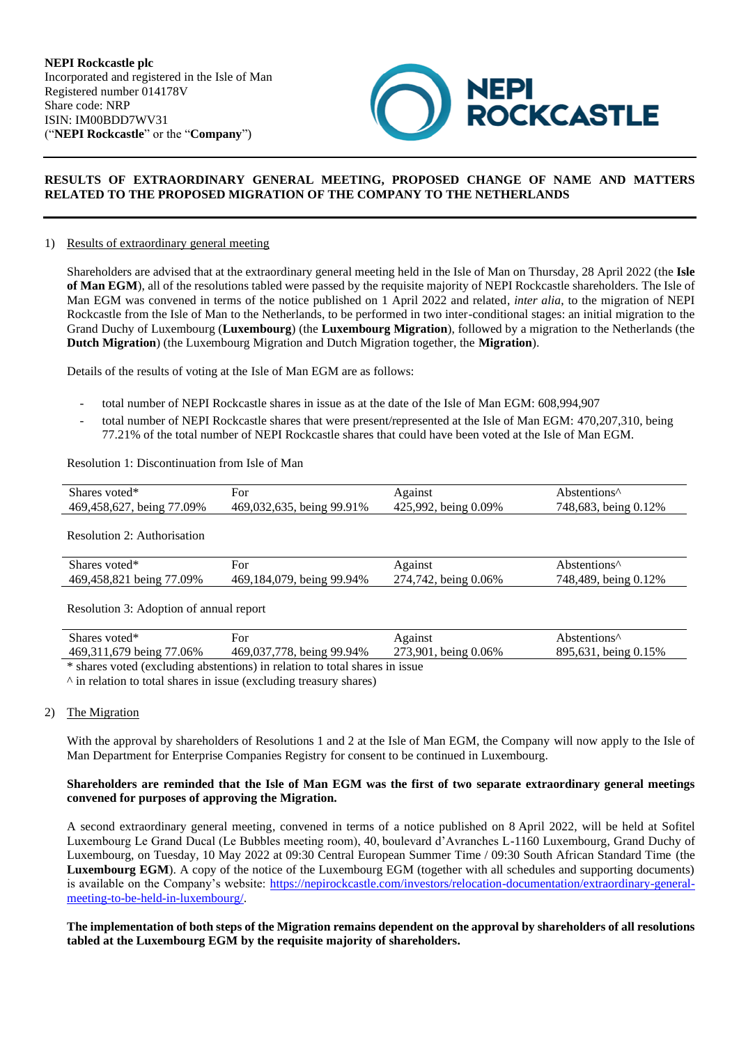

# **RESULTS OF EXTRAORDINARY GENERAL MEETING, PROPOSED CHANGE OF NAME AND MATTERS RELATED TO THE PROPOSED MIGRATION OF THE COMPANY TO THE NETHERLANDS**

### 1) Results of extraordinary general meeting

Shareholders are advised that at the extraordinary general meeting held in the Isle of Man on Thursday, 28 April 2022 (the **Isle of Man EGM**), all of the resolutions tabled were passed by the requisite majority of NEPI Rockcastle shareholders. The Isle of Man EGM was convened in terms of the notice published on 1 April 2022 and related, *inter alia*, to the migration of NEPI Rockcastle from the Isle of Man to the Netherlands, to be performed in two inter-conditional stages: an initial migration to the Grand Duchy of Luxembourg (**Luxembourg**) (the **Luxembourg Migration**), followed by a migration to the Netherlands (the **Dutch Migration**) (the Luxembourg Migration and Dutch Migration together, the **Migration**).

Details of the results of voting at the Isle of Man EGM are as follows:

- total number of NEPI Rockcastle shares in issue as at the date of the Isle of Man EGM: 608,994,907
- total number of NEPI Rockcastle shares that were present/represented at the Isle of Man EGM: 470,207,310, being 77.21% of the total number of NEPI Rockcastle shares that could have been voted at the Isle of Man EGM.

### Resolution 1: Discontinuation from Isle of Man

| Shares voted*             | ⊦or                       | Against              | Abstentions <sup>^</sup> |
|---------------------------|---------------------------|----------------------|--------------------------|
| 469,458,627, being 77.09% | 469.032.635, being 99.91% | 425,992, being 0.09% | 748,683, being 0.12%     |

### Resolution 2: Authorisation

| Shares voted*                   | ⊦or                             | Against                          | bstentions^                     |
|---------------------------------|---------------------------------|----------------------------------|---------------------------------|
| 469,458,821 being 77.<br>$09\%$ | 469.184.079.<br>being $99.94\%$ | 274 742.<br>being $0.06\%$<br>т. | 748.489.<br>.12%<br>being $0.1$ |

### Resolution 3: Adoption of annual report

| Shares voted*            | +Оľ                          | Against                | $\triangle$ bstentions <sup><math>\wedge</math></sup> |
|--------------------------|------------------------------|------------------------|-------------------------------------------------------|
| 469,311,679 being 77.06% | 469,037,778.<br>being 99.94% | 273.901<br>being 0.06% | 895<br>being $0.15%$<br>631                           |
| ata f                    |                              |                        |                                                       |

\* shares voted (excluding abstentions) in relation to total shares in issue

 $\land$  in relation to total shares in issue (excluding treasury shares)

### 2) The Migration

With the approval by shareholders of Resolutions 1 and 2 at the Isle of Man EGM, the Company will now apply to the Isle of Man Department for Enterprise Companies Registry for consent to be continued in Luxembourg.

### **Shareholders are reminded that the Isle of Man EGM was the first of two separate extraordinary general meetings convened for purposes of approving the Migration.**

A second extraordinary general meeting, convened in terms of a notice published on 8 April 2022, will be held at Sofitel Luxembourg Le Grand Ducal (Le Bubbles meeting room), 40, boulevard d'Avranches L-1160 Luxembourg, Grand Duchy of Luxembourg, on Tuesday, 10 May 2022 at 09:30 Central European Summer Time / 09:30 South African Standard Time (the **Luxembourg EGM**). A copy of the notice of the Luxembourg EGM (together with all schedules and supporting documents) is available on the Company's website: [https://nepirockcastle.com/investors/relocation-documentation/extraordinary-general](https://eur02.safelinks.protection.outlook.com/?url=https%3A%2F%2Fnepirockcastle.com%2Finvestors%2Frelocation-documentation%2Fextraordinary-general-meeting-to-be-held-in-luxembourg%2F&data=04%7C01%7CRoxana.Bordeanu%40nepirockcastle.com%7C35275e0db7704137e52008da1922ca14%7Cb461b2e7504e47eebc9b27c40af0adab%7C0%7C0%7C637849935667480910%7CUnknown%7CTWFpbGZsb3d8eyJWIjoiMC4wLjAwMDAiLCJQIjoiV2luMzIiLCJBTiI6Ik1haWwiLCJXVCI6Mn0%3D%7C3000&sdata=8adG8Ln4ZsM91kUtVAGNrSkTJ%2B0cumtO1tbg7Vap1HI%3D&reserved=0)[meeting-to-be-held-in-luxembourg/.](https://eur02.safelinks.protection.outlook.com/?url=https%3A%2F%2Fnepirockcastle.com%2Finvestors%2Frelocation-documentation%2Fextraordinary-general-meeting-to-be-held-in-luxembourg%2F&data=04%7C01%7CRoxana.Bordeanu%40nepirockcastle.com%7C35275e0db7704137e52008da1922ca14%7Cb461b2e7504e47eebc9b27c40af0adab%7C0%7C0%7C637849935667480910%7CUnknown%7CTWFpbGZsb3d8eyJWIjoiMC4wLjAwMDAiLCJQIjoiV2luMzIiLCJBTiI6Ik1haWwiLCJXVCI6Mn0%3D%7C3000&sdata=8adG8Ln4ZsM91kUtVAGNrSkTJ%2B0cumtO1tbg7Vap1HI%3D&reserved=0)

## **The implementation of both steps of the Migration remains dependent on the approval by shareholders of all resolutions tabled at the Luxembourg EGM by the requisite majority of shareholders.**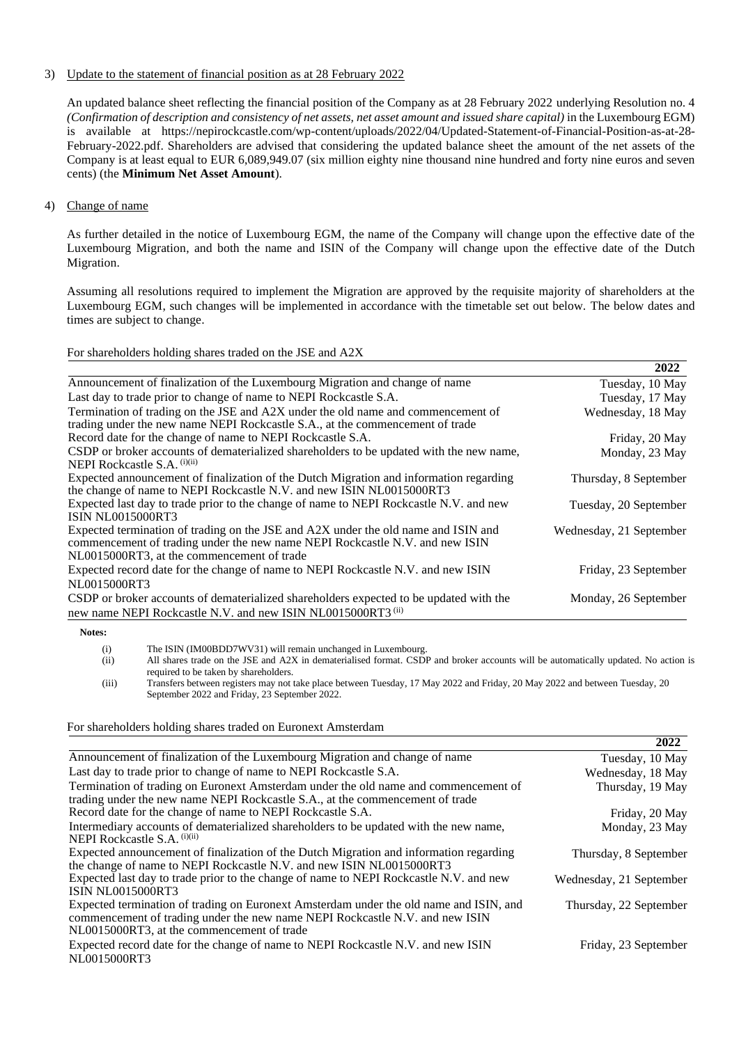## 3) Update to the statement of financial position as at 28 February 2022

An updated balance sheet reflecting the financial position of the Company as at 28 February 2022 underlying Resolution no. 4 *(Confirmation of description and consistency of net assets, net asset amount and issued share capital)* in the Luxembourg EGM) is available at https://nepirockcastle.com/wp-content/uploads/2022/04/Updated-Statement-of-Financial-Position-as-at-28- February-2022.pdf. Shareholders are advised that considering the updated balance sheet the amount of the net assets of the Company is at least equal to EUR 6,089,949.07 (six million eighty nine thousand nine hundred and forty nine euros and seven cents) (the **Minimum Net Asset Amount**).

## 4) Change of name

As further detailed in the notice of Luxembourg EGM, the name of the Company will change upon the effective date of the Luxembourg Migration, and both the name and ISIN of the Company will change upon the effective date of the Dutch Migration.

Assuming all resolutions required to implement the Migration are approved by the requisite majority of shareholders at the Luxembourg EGM, such changes will be implemented in accordance with the timetable set out below. The below dates and times are subject to change.

For shareholders holding shares traded on the JSE and A2X

|                                                                                         | 2022                    |
|-----------------------------------------------------------------------------------------|-------------------------|
| Announcement of finalization of the Luxembourg Migration and change of name             | Tuesday, 10 May         |
| Last day to trade prior to change of name to NEPI Rockcastle S.A.                       | Tuesday, 17 May         |
| Termination of trading on the JSE and A2X under the old name and commencement of        | Wednesday, 18 May       |
| trading under the new name NEPI Rockcastle S.A., at the commencement of trade           |                         |
| Record date for the change of name to NEPI Rockcastle S.A.                              | Friday, 20 May          |
| CSDP or broker accounts of dematerialized shareholders to be updated with the new name, | Monday, 23 May          |
| NEPI Rockcastle S.A. (i)(ii)                                                            |                         |
| Expected announcement of finalization of the Dutch Migration and information regarding  | Thursday, 8 September   |
| the change of name to NEPI Rockcastle N.V. and new ISIN NL0015000RT3                    |                         |
| Expected last day to trade prior to the change of name to NEPI Rockcastle N.V. and new  | Tuesday, 20 September   |
| <b>ISIN NL0015000RT3</b>                                                                |                         |
| Expected termination of trading on the JSE and A2X under the old name and ISIN and      | Wednesday, 21 September |
| commencement of trading under the new name NEPI Rockcastle N.V. and new ISIN            |                         |
| NL0015000RT3, at the commencement of trade                                              |                         |
| Expected record date for the change of name to NEPI Rockcastle N.V. and new ISIN        | Friday, 23 September    |
| NL0015000RT3                                                                            |                         |
| CSDP or broker accounts of dematerialized shareholders expected to be updated with the  | Monday, 26 September    |
| new name NEPI Rockcastle N.V. and new ISIN NL0015000RT3 (ii)                            |                         |

**Notes:** 

(i) The ISIN (IM00BDD7WV31) will remain unchanged in Luxembourg.

(ii) All shares trade on the JSE and A2X in dematerialised format. CSDP and broker accounts will be automatically updated. No action is required to be taken by shareholders.

(iii) Transfers between registers may not take place between Tuesday, 17 May 2022 and Friday, 20 May 2022 and between Tuesday, 20 September 2022 and Friday, 23 September 2022.

### For shareholders holding shares traded on Euronext Amsterdam

|                                                                                                                                                                        | 2022                    |
|------------------------------------------------------------------------------------------------------------------------------------------------------------------------|-------------------------|
| Announcement of finalization of the Luxembourg Migration and change of name                                                                                            | Tuesday, 10 May         |
| Last day to trade prior to change of name to NEPI Rockcastle S.A.                                                                                                      | Wednesday, 18 May       |
| Termination of trading on Euronext Amsterdam under the old name and commencement of<br>trading under the new name NEPI Rockcastle S.A., at the commencement of trade   | Thursday, 19 May        |
| Record date for the change of name to NEPI Rockcastle S.A.                                                                                                             | Friday, 20 May          |
| Intermediary accounts of dematerialized shareholders to be updated with the new name,<br>NEPI Rockcastle S.A. $(i)(ii)$                                                | Monday, 23 May          |
| Expected announcement of finalization of the Dutch Migration and information regarding<br>the change of name to NEPI Rockcastle N.V. and new ISIN NL0015000RT3         | Thursday, 8 September   |
| Expected last day to trade prior to the change of name to NEPI Rockcastle N.V. and new<br><b>ISIN NL0015000RT3</b>                                                     | Wednesday, 21 September |
| Expected termination of trading on Euronext Amsterdam under the old name and ISIN, and<br>commencement of trading under the new name NEPI Rockcastle N.V. and new ISIN | Thursday, 22 September  |
| NL0015000RT3, at the commencement of trade                                                                                                                             |                         |
| Expected record date for the change of name to NEPI Rockcastle N.V. and new ISIN                                                                                       | Friday, 23 September    |
| NL0015000RT3                                                                                                                                                           |                         |